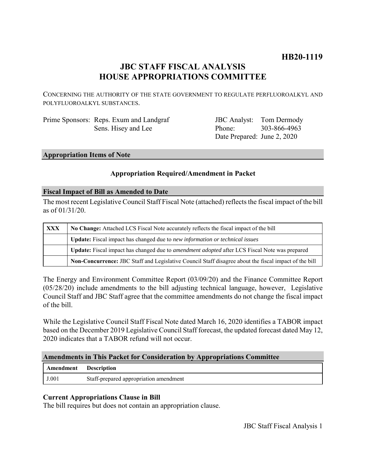# **HB20-1119**

# **JBC STAFF FISCAL ANALYSIS HOUSE APPROPRIATIONS COMMITTEE**

CONCERNING THE AUTHORITY OF THE STATE GOVERNMENT TO REGULATE PERFLUOROALKYL AND POLYFLUOROALKYL SUBSTANCES.

Prime Sponsors: Reps. Exum and Landgraf Sens. Hisey and Lee

JBC Analyst: Tom Dermody Phone: Date Prepared: June 2, 2020 303-866-4963

## **Appropriation Items of Note**

## **Appropriation Required/Amendment in Packet**

#### **Fiscal Impact of Bill as Amended to Date**

The most recent Legislative Council Staff Fiscal Note (attached) reflects the fiscal impact of the bill as of 01/31/20.

| XXX | No Change: Attached LCS Fiscal Note accurately reflects the fiscal impact of the bill                 |
|-----|-------------------------------------------------------------------------------------------------------|
|     | Update: Fiscal impact has changed due to new information or technical issues                          |
|     | Update: Fiscal impact has changed due to <i>amendment adopted</i> after LCS Fiscal Note was prepared  |
|     | Non-Concurrence: JBC Staff and Legislative Council Staff disagree about the fiscal impact of the bill |

The Energy and Environment Committee Report (03/09/20) and the Finance Committee Report (05/28/20) include amendments to the bill adjusting technical language, however, Legislative Council Staff and JBC Staff agree that the committee amendments do not change the fiscal impact of the bill.

While the Legislative Council Staff Fiscal Note dated March 16, 2020 identifies a TABOR impact based on the December 2019 Legislative Council Staff forecast, the updated forecast dated May 12, 2020 indicates that a TABOR refund will not occur.

## **Amendments in This Packet for Consideration by Appropriations Committee**

| <b>Amendment</b> Description |                                        |
|------------------------------|----------------------------------------|
| J.001                        | Staff-prepared appropriation amendment |

# **Current Appropriations Clause in Bill**

The bill requires but does not contain an appropriation clause.